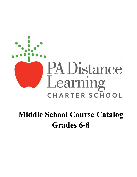

# **Middle School Course Catalog Grades 6-8**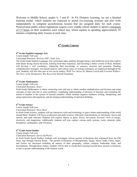Welcome to Middle School, grades 6, 7 and 8! At PA Distance Learning, we use a blended learning model, which students are expected to attend live-learning sessions and also work independently to complete asynchronous lessons that are assigned daily for each course. Pennsylvania public school regulations require every middle school student to spend a minimum of 5.5 hours on their academics each school day, which equates to spending approximately 45 minutes completing daily lessons in each class.

# **6th Grade Courses**

# **6th Grade English Language Arts**

Course length: Full-year

Curriculum Resource: *McGraw Hill - Study Sync* 

The Sixth Grade English Language Arts curriculum takes students through literary and nonfiction texts that explore individuals facing crucial decisions, learning from their responses, and becoming a better version of them. Students will develop a rich vocabulary, enhancing their knowledge of sentence structure and grammar. Reading comprehension strategies, text-based analysis, and various types of writing techniques are employed throughout the year. Students will also take part in two novel studies, *Walk Two Moons* by Sharon Creech and *Freedom Walkers: The Story of the Montgomery Bus Boycott* by Russell Freedman.

## **6th Grade Mathematics**

Course length: Full-year

#### Curriculum Resource: *Zearn*

Sixth Grade Mathematics is about connecting ratio and rate to whole number multiplication and division and using concepts of ratio and rate to solve problems; completing understanding of division of fractions and extending the notion of number to the system of rational numbers, which includes negative numbers; writing, interpreting, and using expressions and equations; and developing understanding of statistical thinking.

## **6th Grade Science**

Course length: Full-year

Curriculum Resource: *Mosa Mack*

In Sixth Grade Science, students will use interactive tools and technology to gain a better understanding of the world around them. Students will focus on physical and earth sciences with main concentrations on astronomy, forces and motion, and earth structure. Students will explore objects in space, forces, movement, Newton's laws of energy, electricity, and magnetism. Additionally students will also explore various earth systems, rocks, minerals, plate boundaries, earthquakes, and volcanoes.

## **6th Grade Social Studies**

Course length: Full-year Curriculum Resource: *Savvas MyWorld*

In Sixth Grade Social Studies, students will investigate various ancient civilizations that originated from the Old Stone Age through Ancient Rome. The ancient civilizations of Mesopotamia, Egypt, Africa, India, China, Japan, and Greece are discussed including all aspects of their geography, culture, religion, leadership, trade, and development. Through these studies, students will be able to extend their learning beyond these ancient civilizations to have a greater understanding of the modern world.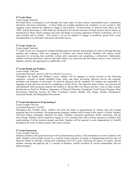## **6th Grade Music**

#### Course length: Semester

6th Grade Music is designed to cycle through four major topics of music history, international music, composition and theory and music technology. As these fields are in higher demand in the workforce, we are excited to offer engaging course material for students to engage in and research. In Sixth Grade, we discover Early Music up the 1400's and the Renaissance (1400-1600) are introduced to the musical structure of South America and its culture, an introduction to Music Theory notation and scales and finally an exciting exploration of Music Technology' how it is used currently and its history. This course is set up for students to engage in productive group work, create interdependence in small tasks, and ensure individual success.

## **6th Grade Visual Art**

#### Course length: Semester

 $6<sup>th</sup>$  Grade Visual Art is designed to continue building upon the elements and principles of visual art through drawing, painting and sculpting, while also engaging in aesthetic and critical analysis. Students will explore artistic expression by reviewing their portfolio, writing artist statements and completing a self-portrait. Additionally, students will learn about how visual art and other subjects are connected, and will explore careers in the visual arts. Students will have the opportunity to exhibit their work.

#### **6th Grade Health and Wellness**

#### Course length: Full-year

#### Curriculum Resource: *McGraw Hill Teen Health Courseware*

Throughout the Health and Wellness course, students will be engaged in lessons focused on the following categories: concepts of health, healthful living, safety and injury prevention, physical activity and concepts, principles and strategies of movement. To meet the physical activity standards, the students are responsible for engaging in daily physical activities by completing a weekly fit log. This approach makes fitness very personal and individualized while giving the students the freedom to choose their own fitness activities. Units of study include: Introduction to Health & Wellness, Importance of Physical Education, Presidential Youth Fitness Program, Basic Movements, Endocrine System, My Plate, Circulatory System, Healthy Life, Drugs, Alcohol, Emergencies, Emotional Health, and Manipulation Movements.

## **6th Grade Introduction to Programming 2**

Course Length: Full-year

#### Curriculum Resource: *CodeHS*

Throughout this CodeHS course, students will learn the basics of programming by writing code and creating programs that solve problems. The programming language students will be using in this course is Python. Students will learn Python commands, functions, for loops, variables, comments, parameters, If/Else statements, and top down design. Students will be required to engage in a live learning class with a teacher and peers to enhance their understanding of all the learned concepts and skills. Students will be required to work independently in CodeHS throughout the week to remain on pace with course concepts.

## **6th Grade Homeroom**

#### Course Length: Full-year

Students enrolled in 6th grade homeroom will be demonstrating mastery of the foundations of career readiness/ life skills. Students will be taught lessons by a certified school counselor in regards to distinguishing between types of behavior related to bullying, creating and completing S.M.A.R.T goals, analyzing all aspects of respect, growth mindset, learning and applying the 12 concepts of kindness, conflict resolution in various relationships, and test taking strategies.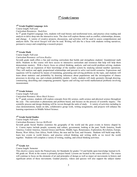# **7th Grade Courses**

## **7th Grade English Language Arts**

Course length: Full-year

Curriculum Resources: *StudySync*

In  $7<sup>th</sup>$  grade English Language Arts, students will read literary and nonfictional texts, and practice close reading and analysis to delve deep into the interactive texts. The class will explore themes such as conflict, relationships, dreams, and change. A variety of creative projects, discussions, and activities will be used to assess comprehension and analysis skills. The novel *Stargirl* will also be read. Writing will also be a focus with students writing narratives, persuasive essays and completing a research project.

## **7th Grade Math**

Course length: Full-year

Curriculum Resource: *enVision Realize*

Seventh grade math offers a fun and exciting curriculum that builds and strengthens students' foundational math skills. Students in this course will have access to interactive curriculum and resources that help will help them demonstrate mastery. With a heavy focus on critical thinking, analysis, and real-world problem solving, students will begin with an expansion of their knowledge of the number system by studying rational number operations. They will analyze and apply proportional relationships and percent to solve real-world scenarios. Expressions and equations will be explored by means of translating, generating and solving problems on the topic, and students will learn about statistics and probability by drawing inferences about populations and the investigation of chance processes to develop, use, and evaluate probability models. Lastly, students will study geometry through drawing, constructing, describing and comparing geometric figures and solving real-world mathematical problems involving measurement.

## **7th Grade Science**

Course length: Full-year

#### Curriculum Resource: *Mosa Mack Science*

In  $7<sup>th</sup>$  grade science, students will explore concepts from life science, earth science and physical science throughout the year. The curriculum is phenomena and problem based, and focuses on the process of scientific inquiry. The scientific process and design thinking will be woven through the units of study. A variety of activities including in class demonstrations, hands on labs, collaborative group work, writing assignments, and projects will enhance the learning experiences in Middle School Science.

## **7th Grade Social Studies**

Course length: Full-year

#### Curriculum Resource: *Savvas MyWorld*

Seventh grade Social Studies examines the geography of the world and the great events in history shaped by it. Course topics include people, economy and culture, government, looking at the past, North America, South America, Central America, Ancient Greece and Rome, Middle Ages, Renaissance, Exploration, Revolution, Europe, Russia, West Africa, East Africa, North Africa, the near and far East, and Oceania. Students will build map skills, learn key events in world history, and practice critical thinking and writing skills as we travel the world together. Students will complete a variety of writing, reading, and critical thinking activities.

## **7th Grade Art**

## Course length: Semester

This elective course meets the Pennsylvania Art Standards for grades 7-8 and builds upon knowledge learned in K-6th grade art. Work in the course is primarily project based. Lessons are located in the course delivery*.* The course will continue to focus on the elements of art and principles of design as well as major art movements in history and significant artists of these movements. Guided practice, videos and quizzes will also support the subject matter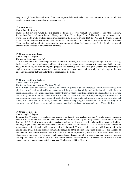taught through the online curriculum. This class requires daily work to be completed in order to be successful. Art supplies are provided to complete all assigned projects.

## **7th Grade Music**

Course Length: Semester

Music in this Seventh Grade elective course is designed to cycle through four major topics: Music History, International Music, Composition and Theory, and Music Technology. These fields are in higher demand in the workforce. In 7th grade, students discover and research the Baroque Period 1600 to 1750 and the Classical Period 1750-1830. Students are also introduced to the musical structure of Africa and its culture, an introduction to Music Theory scales, modes and intervals, an exciting exploration of Music Technology, and, finally, the physics behind the sounds and the studios in which they are made.

#### **7th Grade Computing Ideas**

Course length: Full-year

Curriculum Resource: *Code HS*

This elective course is a first computer science course introducing the basics of programming with Karel the Dog, the basics of designing a web page, and how information and images are represented with computers. With a unique focus on creativity, problem solving and project based learning, the course also gives students the opportunity to explore several important topics of computing using their own ideas and creativity and develop an interest in computer science that will foster further endeavors in the field.

## **7th Grade Health and Wellness**

Course length: Full-year

#### Curriculum Resource: *McGraw Hill Teen Health*

In 7th Grade Health and Wellness, students will focus on gaining a greater awareness about what constitutes their physical, mental, and social wellbeing. Students will be provided knowledge and skills that will enable them to make responsible decisions and maintain a healthy lifestyle, which benefits adolescents in all aspects of their growth and learning. Work in this course will meet PA Academic Standards for Health, Safety and Physical Education with age appropriate topics such as concepts of health, healthful living, safety and injury prevention and principles and strategies of movement. In addition, students will focus on completing the Presidential Youth Fitness Program to assess their overall fitness levels, as well as, engage in daily physical activity by completing a Weekly Fit Log.

#### **7th Grade Homeroom**

Course length: Full-year

Required for  $7<sup>th</sup>$  grade level students, this course is co-taught with teachers and the  $7<sup>th</sup>$  grade school counselor. School Counselors and teachers will facilitate lessons and discussions promoting students' social and emotional learning (SEL). Topics such as anxiety, decision making, self-esteem, healthy relationships, positive thinking, bullying, digital safety, communication skills and other topics that follow the ASCA (American School Counseling Association) national model will be presented and discussed. Teachers and counselors will foster relationship building and create a shared sense of community through all of the unique backgrounds, experiences and interests of the students. Homeroom sessions will also include activities to promote positive school behaviors (the Core 4: attendance, organization, self-advocacy, and independence), discuss Digital Citizenship, examine Financial Literacy, and explore Career Education and Work. Homeroom teachers and counselors will ensure that all students create annual goals and have a documented career plan (Student Annual Goal Sheets).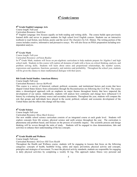# **8th Grade Courses**

## **8th Grade English Language Arts**

Course length: Full-year Curriculum Resource: *StudySync*

 $8<sup>th</sup>$  English Language Arts focuses equally on both reading and writing skills. The course builds upon previously learned skills and serves to prepare students for high school level English courses. Students use an interactive textbook to read fiction, non-fiction, poetry and the novel *The Outsiders* by S.E. Hinton. The writing portion of the course includes creative, informative and persuasive essays. We will also focus on PSSA preparation including textdependent analysis.

#### **8th Grade Math**

Course length: Full-year

Curriculum Resource: *enVision Realize*

In  $8<sup>th</sup>$  Grade Math, students will focus on pre-algebraic curriculum to help students prepare for Algebra I and high school math. Students in this course will explore all domains of math with a focus on critical thinking, analysis, and problem solving skills. Students will learn about ratios and proportional relationships, the number system, expressions and equations, functions, geometry, and statistics and probability. Throughout the school year, students will be given the chance to share mathematical dialogue with their peers.

#### **8th Grade Social Studies: American History**

Course length: Full-year

Curriculum Resource: *Savvas MyWorld*

This course is a survey of historical, cultural, political, economic, and institutional factors and events that have shaped United States history from colonization through the Reconstruction era following the Civil War. The course takes a chronological approach with an emphasis on major themes throughout history that have impacted the development of our nation. Additionally, students will analyze how continuity and change have influenced U.S history by evaluating the primary source and secondary documents. Throughout the year, students will compare the role that groups and individuals have played in the social, political, cultural, and economic development of the United States and the effects this change still has today.

## **8th Grade Science**

Course length: Full-year

Curriculum Resource: *Mosa Mack Science*

Our new middle school science curriculum consists of an integrated course at each grade level. Students will explore concepts from life science, physical science and earth science throughout the year. The curriculum is phenomena and problem based, and focuses on the process of scientific inquiry. The scientific process and design thinking will be woven through the units of study. Students will be engaged in class demonstrations, labs and activities to enhance their understanding of the key concepts.

## **8th Grade Health and Wellness**

Course length: Full-year

#### Curriculum Resource: *McGraw Hill Teen Health*

Throughout the Health and Wellness course, students will be engaging in lessons that focus on the following categories: concepts of health, healthful living, safety and injury prevention, physical activity and concepts, principles and strategies of movement. To meet the physical activity standards, students are responsible for engaging in daily physical activities by completing a weekly fit log. This approach makes fitness very personal and